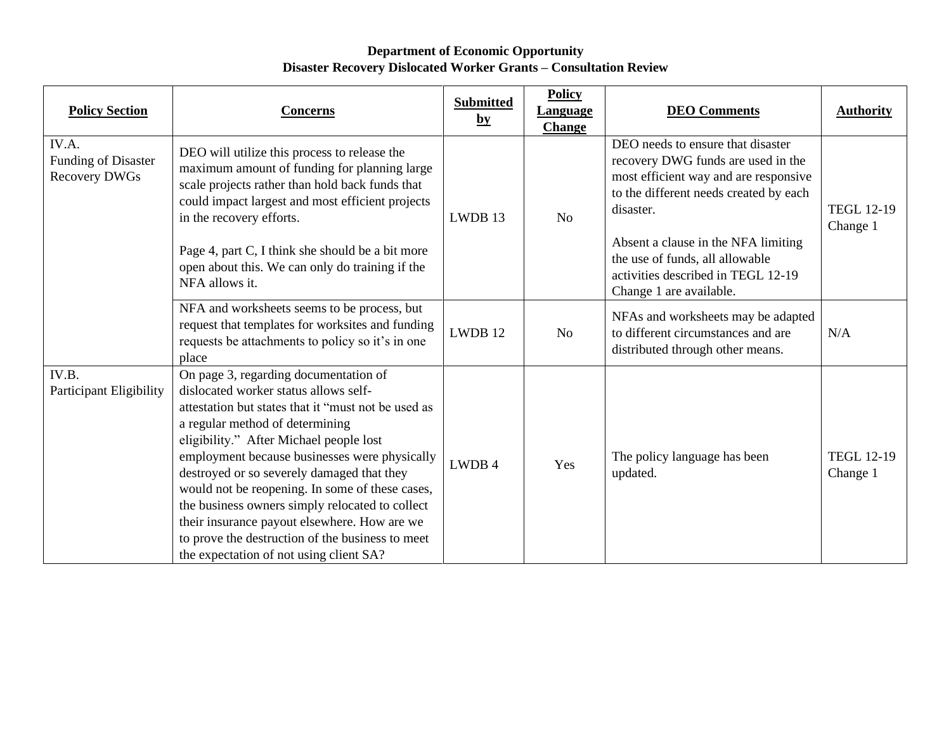## **Department of Economic Opportunity Disaster Recovery Dislocated Worker Grants – Consultation Review**

| <b>Policy Section</b>                                | <b>Concerns</b>                                                                                                                                                                                                                                                                                                                                                                                                                                                                                                                                                         | <b>Submitted</b><br>$\mathbf{b} \mathbf{y}$ | <b>Policy</b><br><b>Language</b><br><b>Change</b> | <b>DEO Comments</b>                                                                                                                                                                                                                                                                                                | <b>Authority</b>              |
|------------------------------------------------------|-------------------------------------------------------------------------------------------------------------------------------------------------------------------------------------------------------------------------------------------------------------------------------------------------------------------------------------------------------------------------------------------------------------------------------------------------------------------------------------------------------------------------------------------------------------------------|---------------------------------------------|---------------------------------------------------|--------------------------------------------------------------------------------------------------------------------------------------------------------------------------------------------------------------------------------------------------------------------------------------------------------------------|-------------------------------|
| IV.A.<br>Funding of Disaster<br><b>Recovery DWGs</b> | DEO will utilize this process to release the<br>maximum amount of funding for planning large<br>scale projects rather than hold back funds that<br>could impact largest and most efficient projects<br>in the recovery efforts.<br>Page 4, part C, I think she should be a bit more<br>open about this. We can only do training if the<br>NFA allows it.                                                                                                                                                                                                                | LWDB 13                                     | N <sub>o</sub>                                    | DEO needs to ensure that disaster<br>recovery DWG funds are used in the<br>most efficient way and are responsive<br>to the different needs created by each<br>disaster.<br>Absent a clause in the NFA limiting<br>the use of funds, all allowable<br>activities described in TEGL 12-19<br>Change 1 are available. | <b>TEGL 12-19</b><br>Change 1 |
|                                                      | NFA and worksheets seems to be process, but<br>request that templates for worksites and funding<br>requests be attachments to policy so it's in one<br>place                                                                                                                                                                                                                                                                                                                                                                                                            | LWDB 12                                     | No                                                | NFAs and worksheets may be adapted<br>to different circumstances and are<br>distributed through other means.                                                                                                                                                                                                       | N/A                           |
| IV.B.<br>Participant Eligibility                     | On page 3, regarding documentation of<br>dislocated worker status allows self-<br>attestation but states that it "must not be used as<br>a regular method of determining<br>eligibility." After Michael people lost<br>employment because businesses were physically<br>destroyed or so severely damaged that they<br>would not be reopening. In some of these cases,<br>the business owners simply relocated to collect<br>their insurance payout elsewhere. How are we<br>to prove the destruction of the business to meet<br>the expectation of not using client SA? | LWDB 4                                      | Yes                                               | The policy language has been<br>updated.                                                                                                                                                                                                                                                                           | <b>TEGL 12-19</b><br>Change 1 |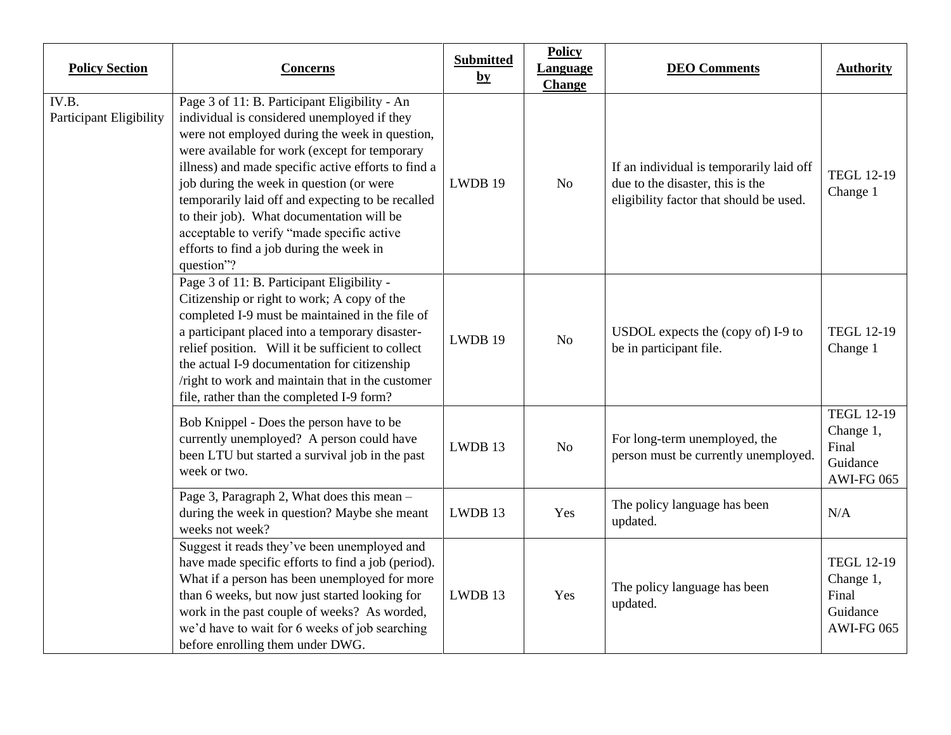| <b>Policy Section</b>            | <b>Concerns</b>                                                                                                                                                                                                                                                                                                                                                                                                                                                                                              | <b>Submitted</b><br>$\mathbf{b} \mathbf{y}$ | <b>Policy</b><br><b>Language</b><br><b>Change</b> | <b>DEO</b> Comments                                                                                                     | <b>Authority</b>                                                         |
|----------------------------------|--------------------------------------------------------------------------------------------------------------------------------------------------------------------------------------------------------------------------------------------------------------------------------------------------------------------------------------------------------------------------------------------------------------------------------------------------------------------------------------------------------------|---------------------------------------------|---------------------------------------------------|-------------------------------------------------------------------------------------------------------------------------|--------------------------------------------------------------------------|
| IV.B.<br>Participant Eligibility | Page 3 of 11: B. Participant Eligibility - An<br>individual is considered unemployed if they<br>were not employed during the week in question,<br>were available for work (except for temporary<br>illness) and made specific active efforts to find a<br>job during the week in question (or were<br>temporarily laid off and expecting to be recalled<br>to their job). What documentation will be<br>acceptable to verify "made specific active<br>efforts to find a job during the week in<br>question"? | LWDB 19                                     | N <sub>o</sub>                                    | If an individual is temporarily laid off<br>due to the disaster, this is the<br>eligibility factor that should be used. | <b>TEGL 12-19</b><br>Change 1                                            |
|                                  | Page 3 of 11: B. Participant Eligibility -<br>Citizenship or right to work; A copy of the<br>completed I-9 must be maintained in the file of<br>a participant placed into a temporary disaster-<br>relief position. Will it be sufficient to collect<br>the actual I-9 documentation for citizenship<br>/right to work and maintain that in the customer<br>file, rather than the completed I-9 form?                                                                                                        | LWDB 19                                     | N <sub>o</sub>                                    | USDOL expects the (copy of) I-9 to<br>be in participant file.                                                           | <b>TEGL 12-19</b><br>Change 1                                            |
|                                  | Bob Knippel - Does the person have to be<br>currently unemployed? A person could have<br>been LTU but started a survival job in the past<br>week or two.                                                                                                                                                                                                                                                                                                                                                     | LWDB 13                                     | N <sub>o</sub>                                    | For long-term unemployed, the<br>person must be currently unemployed.                                                   | <b>TEGL 12-19</b><br>Change 1,<br>Final<br>Guidance<br><b>AWI-FG 065</b> |
|                                  | Page 3, Paragraph 2, What does this mean -<br>during the week in question? Maybe she meant<br>weeks not week?                                                                                                                                                                                                                                                                                                                                                                                                | LWDB 13                                     | Yes                                               | The policy language has been<br>updated.                                                                                | $\rm N/A$                                                                |
|                                  | Suggest it reads they've been unemployed and<br>have made specific efforts to find a job (period).<br>What if a person has been unemployed for more<br>than 6 weeks, but now just started looking for<br>work in the past couple of weeks? As worded,<br>we'd have to wait for 6 weeks of job searching<br>before enrolling them under DWG.                                                                                                                                                                  | LWDB 13                                     | Yes                                               | The policy language has been<br>updated.                                                                                | <b>TEGL 12-19</b><br>Change 1,<br>Final<br>Guidance<br><b>AWI-FG 065</b> |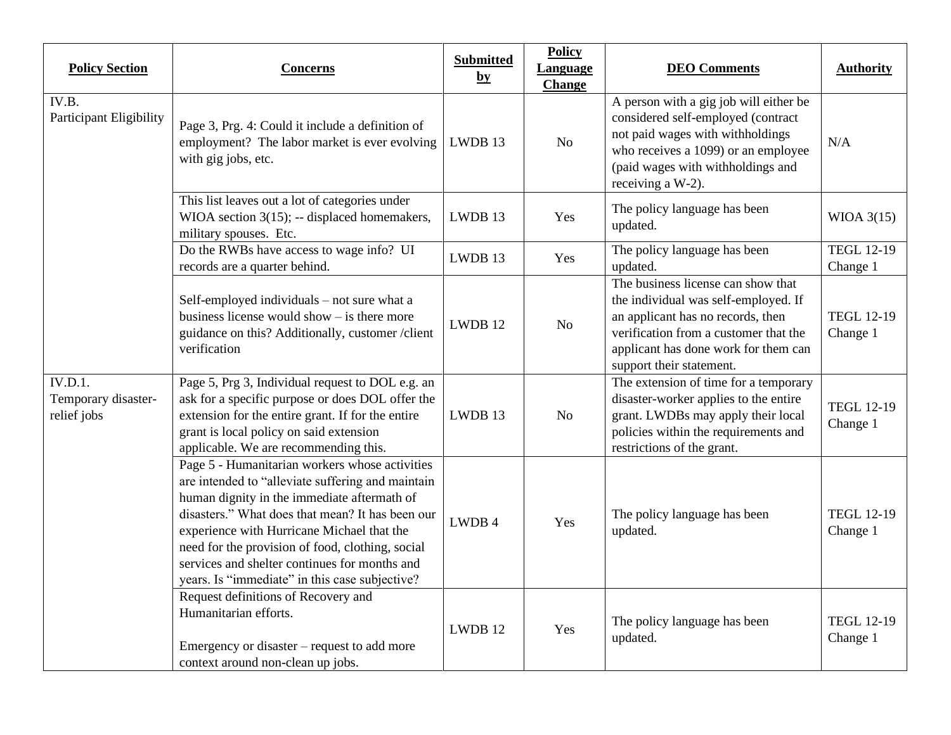| <b>Policy Section</b>                                | <b>Concerns</b>                                                                                                                                                                                                                                                                                                                                                                                             | <b>Submitted</b><br>$\mathbf{b}$ y | <b>Policy</b><br><b>Language</b><br><b>Change</b> | <b>DEO</b> Comments                                                                                                                                                                                                          | <b>Authority</b>              |
|------------------------------------------------------|-------------------------------------------------------------------------------------------------------------------------------------------------------------------------------------------------------------------------------------------------------------------------------------------------------------------------------------------------------------------------------------------------------------|------------------------------------|---------------------------------------------------|------------------------------------------------------------------------------------------------------------------------------------------------------------------------------------------------------------------------------|-------------------------------|
| IV.B.<br>Participant Eligibility                     | Page 3, Prg. 4: Could it include a definition of<br>employment? The labor market is ever evolving<br>with gig jobs, etc.                                                                                                                                                                                                                                                                                    | LWDB 13                            | <b>No</b>                                         | A person with a gig job will either be<br>considered self-employed (contract<br>not paid wages with withholdings<br>who receives a 1099) or an employee<br>(paid wages with withholdings and<br>receiving a W-2).            | N/A                           |
|                                                      | This list leaves out a lot of categories under<br>WIOA section $3(15)$ ; -- displaced homemakers,<br>military spouses. Etc.                                                                                                                                                                                                                                                                                 | LWDB 13                            | Yes                                               | The policy language has been<br>updated.                                                                                                                                                                                     | WIOA $3(15)$                  |
|                                                      | Do the RWBs have access to wage info? UI<br>records are a quarter behind.                                                                                                                                                                                                                                                                                                                                   | LWDB 13                            | Yes                                               | The policy language has been<br>updated.                                                                                                                                                                                     | <b>TEGL 12-19</b><br>Change 1 |
|                                                      | Self-employed individuals – not sure what a<br>business license would show $-$ is there more<br>guidance on this? Additionally, customer /client<br>verification                                                                                                                                                                                                                                            | LWDB 12                            | <b>No</b>                                         | The business license can show that<br>the individual was self-employed. If<br>an applicant has no records, then<br>verification from a customer that the<br>applicant has done work for them can<br>support their statement. | <b>TEGL 12-19</b><br>Change 1 |
| <b>IV.D.1.</b><br>Temporary disaster-<br>relief jobs | Page 5, Prg 3, Individual request to DOL e.g. an<br>ask for a specific purpose or does DOL offer the<br>extension for the entire grant. If for the entire<br>grant is local policy on said extension<br>applicable. We are recommending this.                                                                                                                                                               | LWDB 13                            | N <sub>o</sub>                                    | The extension of time for a temporary<br>disaster-worker applies to the entire<br>grant. LWDBs may apply their local<br>policies within the requirements and<br>restrictions of the grant.                                   | <b>TEGL 12-19</b><br>Change 1 |
|                                                      | Page 5 - Humanitarian workers whose activities<br>are intended to "alleviate suffering and maintain<br>human dignity in the immediate aftermath of<br>disasters." What does that mean? It has been our<br>experience with Hurricane Michael that the<br>need for the provision of food, clothing, social<br>services and shelter continues for months and<br>years. Is "immediate" in this case subjective? | LWDB 4                             | Yes                                               | The policy language has been<br>updated.                                                                                                                                                                                     | <b>TEGL 12-19</b><br>Change 1 |
|                                                      | Request definitions of Recovery and<br>Humanitarian efforts.<br>Emergency or disaster – request to add more<br>context around non-clean up jobs.                                                                                                                                                                                                                                                            | LWDB 12                            | Yes                                               | The policy language has been<br>updated.                                                                                                                                                                                     | <b>TEGL 12-19</b><br>Change 1 |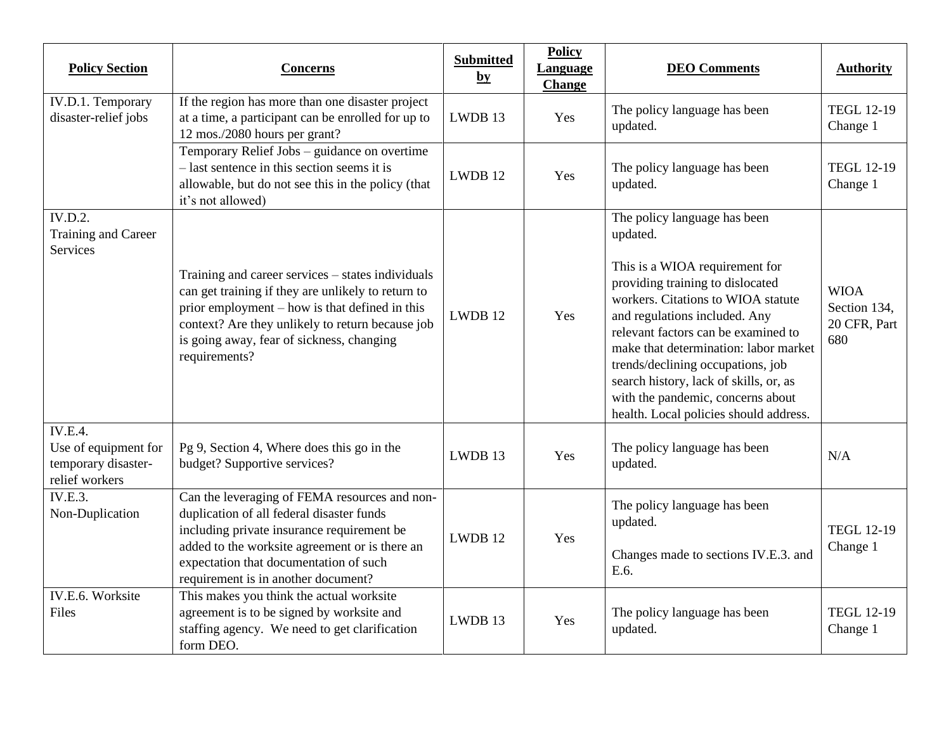| <b>Policy Section</b>                                                           | <b>Concerns</b>                                                                                                                                                                                                                                                             | <b>Submitted</b><br>$\mathbf{b}\mathbf{y}$ | <b>Policy</b><br>Language<br><b>Change</b> | <b>DEO</b> Comments                                                                                                                                                                                                                                                                                                                                                                                                                 | <b>Authority</b>                                   |
|---------------------------------------------------------------------------------|-----------------------------------------------------------------------------------------------------------------------------------------------------------------------------------------------------------------------------------------------------------------------------|--------------------------------------------|--------------------------------------------|-------------------------------------------------------------------------------------------------------------------------------------------------------------------------------------------------------------------------------------------------------------------------------------------------------------------------------------------------------------------------------------------------------------------------------------|----------------------------------------------------|
| IV.D.1. Temporary<br>disaster-relief jobs                                       | If the region has more than one disaster project<br>at a time, a participant can be enrolled for up to<br>12 mos./2080 hours per grant?                                                                                                                                     | LWDB 13                                    | Yes                                        | The policy language has been<br>updated.                                                                                                                                                                                                                                                                                                                                                                                            | <b>TEGL 12-19</b><br>Change 1                      |
|                                                                                 | Temporary Relief Jobs - guidance on overtime<br>- last sentence in this section seems it is<br>allowable, but do not see this in the policy (that<br>it's not allowed)                                                                                                      | LWDB 12                                    | Yes                                        | The policy language has been<br>updated.                                                                                                                                                                                                                                                                                                                                                                                            | <b>TEGL 12-19</b><br>Change 1                      |
| IV.D.2.<br>Training and Career<br><b>Services</b>                               | Training and career services – states individuals<br>can get training if they are unlikely to return to<br>prior employment – how is that defined in this<br>context? Are they unlikely to return because job<br>is going away, fear of sickness, changing<br>requirements? | LWDB 12                                    | Yes                                        | The policy language has been<br>updated.<br>This is a WIOA requirement for<br>providing training to dislocated<br>workers. Citations to WIOA statute<br>and regulations included. Any<br>relevant factors can be examined to<br>make that determination: labor market<br>trends/declining occupations, job<br>search history, lack of skills, or, as<br>with the pandemic, concerns about<br>health. Local policies should address. | <b>WIOA</b><br>Section 134,<br>20 CFR, Part<br>680 |
| <b>IV.E.4.</b><br>Use of equipment for<br>temporary disaster-<br>relief workers | Pg 9, Section 4, Where does this go in the<br>budget? Supportive services?                                                                                                                                                                                                  | LWDB 13                                    | Yes                                        | The policy language has been<br>updated.                                                                                                                                                                                                                                                                                                                                                                                            | N/A                                                |
| <b>IV.E.3.</b><br>Non-Duplication                                               | Can the leveraging of FEMA resources and non-<br>duplication of all federal disaster funds<br>including private insurance requirement be<br>added to the worksite agreement or is there an<br>expectation that documentation of such<br>requirement is in another document? | LWDB 12                                    | Yes                                        | The policy language has been<br>updated.<br>Changes made to sections IV.E.3. and<br>E.6.                                                                                                                                                                                                                                                                                                                                            | <b>TEGL 12-19</b><br>Change 1                      |
| IV.E.6. Worksite<br>Files                                                       | This makes you think the actual worksite<br>agreement is to be signed by worksite and<br>staffing agency. We need to get clarification<br>form DEO.                                                                                                                         | LWDB 13                                    | Yes                                        | The policy language has been<br>updated.                                                                                                                                                                                                                                                                                                                                                                                            | <b>TEGL 12-19</b><br>Change 1                      |